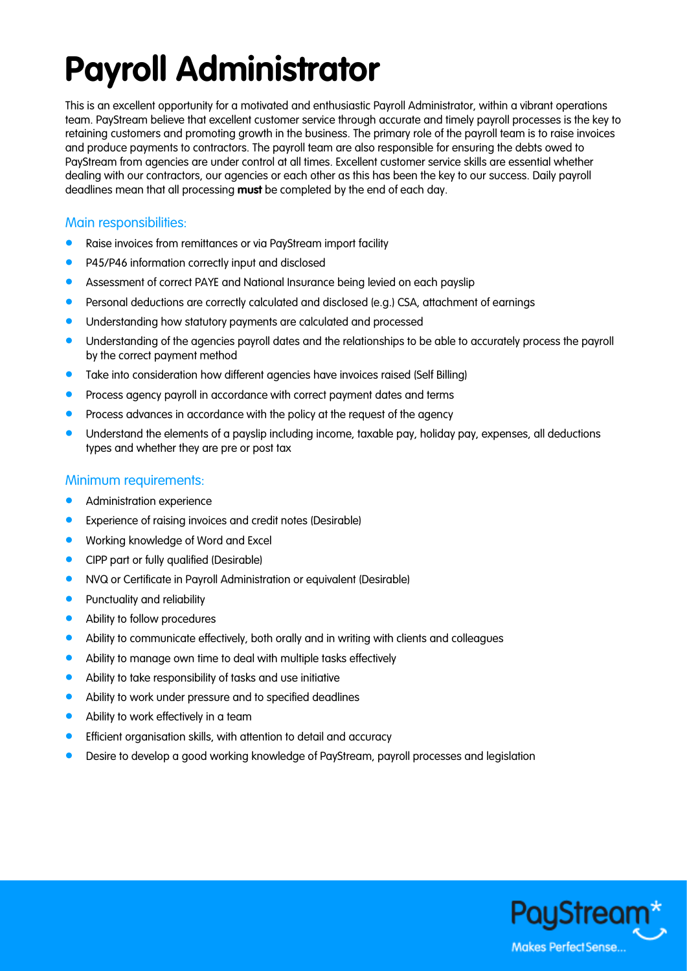## **Payroll Administrator**

This is an excellent opportunity for a motivated and enthusiastic Payroll Administrator, within a vibrant operations team. PayStream believe that excellent customer service through accurate and timely payroll processes is the key to retaining customers and promoting growth in the business. The primary role of the payroll team is to raise invoices and produce payments to contractors. The payroll team are also responsible for ensuring the debts owed to PayStream from agencies are under control at all times. Excellent customer service skills are essential whether dealing with our contractors, our agencies or each other as this has been the key to our success. Daily payroll deadlines mean that all processing **must** be completed by the end of each day.

## Main responsibilities:

- **•** Raise invoices from remittances or via PayStream import facility
- P45/P46 information correctly input and disclosed
- **Assessment of correct PAYE and National Insurance being levied on each payslip**
- Personal deductions are correctly calculated and disclosed (e.g.) CSA, attachment of earnings
- **•** Understanding how statutory payments are calculated and processed
- Understanding of the agencies payroll dates and the relationships to be able to accurately process the payroll by the correct payment method
- Take into consideration how different agencies have invoices raised (Self Billing)
- Process agency payroll in accordance with correct payment dates and terms
- Process advances in accordance with the policy at the request of the agency
- Understand the elements of a payslip including income, taxable pay, holiday pay, expenses, all deductions types and whether they are pre or post tax

## Minimum requirements:

- Administration experience
- Experience of raising invoices and credit notes (Desirable)
- **•** Working knowledge of Word and Excel
- CIPP part or fully qualified (Desirable)
- NVQ or Certificate in Payroll Administration or equivalent (Desirable)
- **•** Punctuality and reliability
- Ability to follow procedures
- Ability to communicate effectively, both orally and in writing with clients and colleagues
- Ability to manage own time to deal with multiple tasks effectively
- Ability to take responsibility of tasks and use initiative
- Ability to work under pressure and to specified deadlines
- Ability to work effectively in a team
- Efficient organisation skills, with attention to detail and accuracy
- Desire to develop a good working knowledge of PayStream, payroll processes and legislation